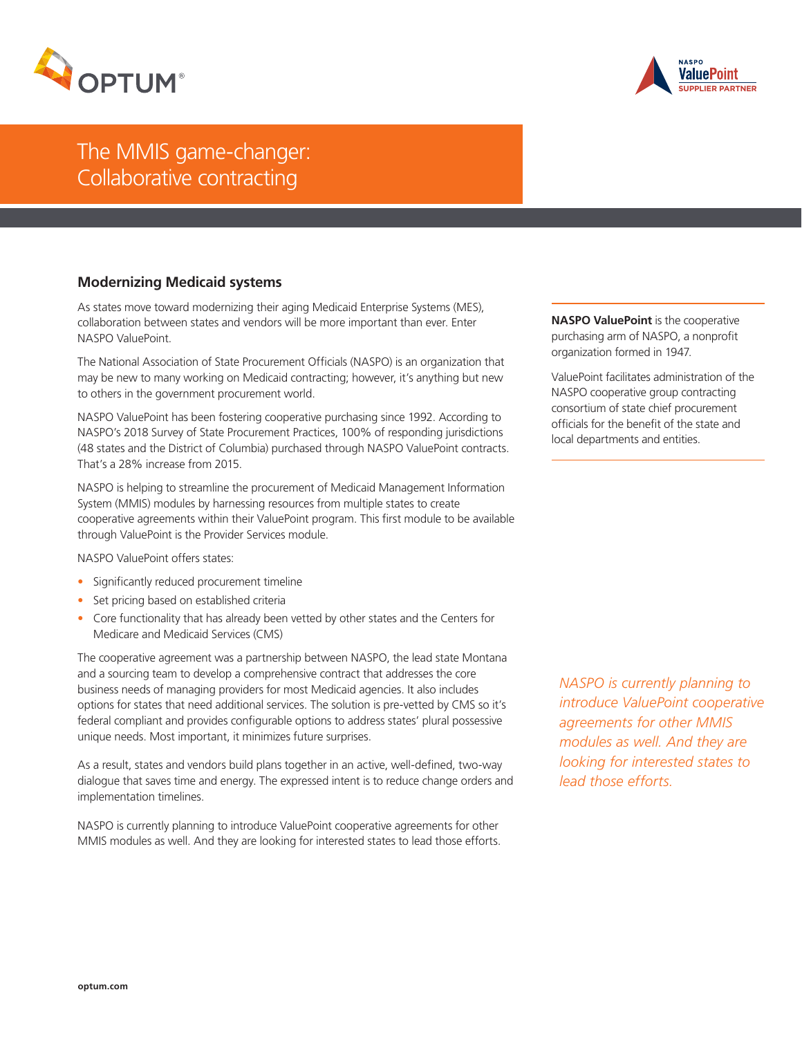



# The MMIS game-changer: Collaborative contracting

## **Modernizing Medicaid systems**

As states move toward modernizing their aging Medicaid Enterprise Systems (MES), collaboration between states and vendors will be more important than ever. Enter NASPO ValuePoint.

The National Association of State Procurement Officials (NASPO) is an organization that may be new to many working on Medicaid contracting; however, it's anything but new to others in the government procurement world.

NASPO ValuePoint has been fostering cooperative purchasing since 1992. According to NASPO's 2018 Survey of State Procurement Practices, 100% of responding jurisdictions (48 states and the District of Columbia) purchased through NASPO ValuePoint contracts. That's a 28% increase from 2015.

NASPO is helping to streamline the procurement of Medicaid Management Information System (MMIS) modules by harnessing resources from multiple states to create cooperative agreements within their ValuePoint program. This first module to be available through ValuePoint is the Provider Services module.

NASPO ValuePoint offers states:

- Significantly reduced procurement timeline
- Set pricing based on established criteria
- Core functionality that has already been vetted by other states and the Centers for Medicare and Medicaid Services (CMS)

The cooperative agreement was a partnership between NASPO, the lead state Montana and a sourcing team to develop a comprehensive contract that addresses the core business needs of managing providers for most Medicaid agencies. It also includes options for states that need additional services. The solution is pre-vetted by CMS so it's federal compliant and provides configurable options to address states' plural possessive unique needs. Most important, it minimizes future surprises.

As a result, states and vendors build plans together in an active, well-defined, two-way dialogue that saves time and energy. The expressed intent is to reduce change orders and implementation timelines.

NASPO is currently planning to introduce ValuePoint cooperative agreements for other MMIS modules as well. And they are looking for interested states to lead those efforts. **NASPO ValuePoint** is the cooperative purchasing arm of NASPO, a nonprofit organization formed in 1947.

ValuePoint facilitates administration of the NASPO cooperative group contracting consortium of state chief procurement officials for the benefit of the state and local departments and entities.

*NASPO is currently planning to introduce ValuePoint cooperative agreements for other MMIS modules as well. And they are looking for interested states to lead those efforts.*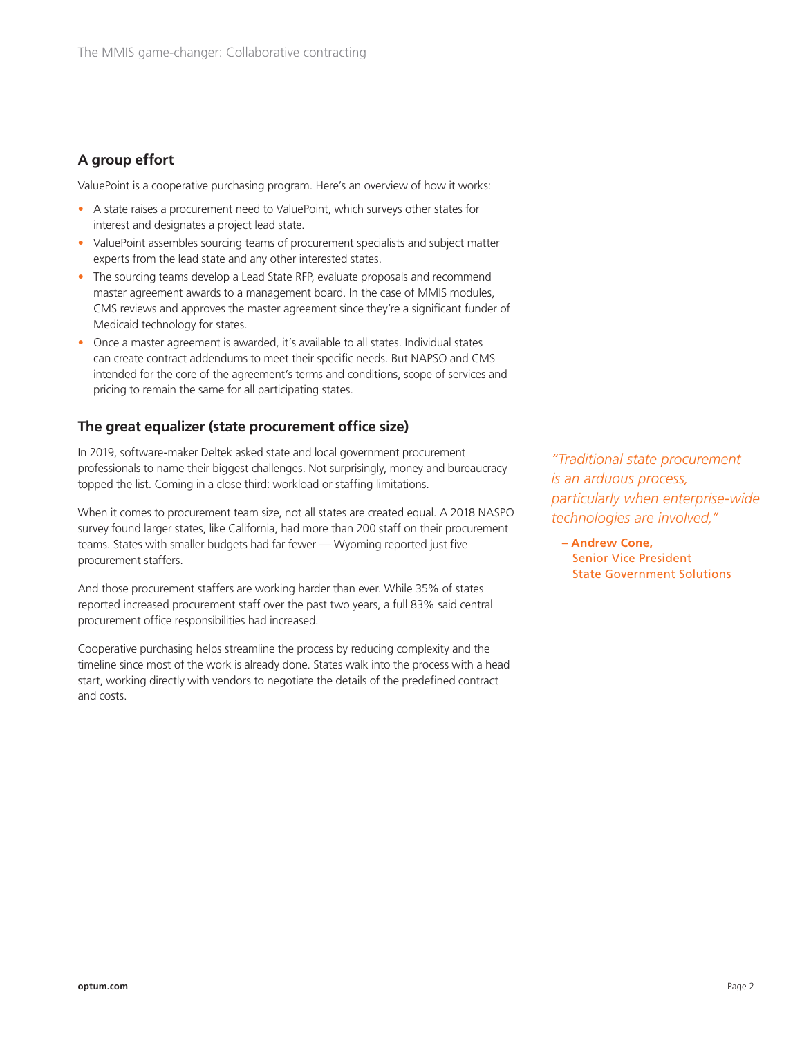## **A group effort**

ValuePoint is a cooperative purchasing program. Here's an overview of how it works:

- A state raises a procurement need to ValuePoint, which surveys other states for interest and designates a project lead state.
- ValuePoint assembles sourcing teams of procurement specialists and subject matter experts from the lead state and any other interested states.
- The sourcing teams develop a Lead State RFP, evaluate proposals and recommend master agreement awards to a management board. In the case of MMIS modules, CMS reviews and approves the master agreement since they're a significant funder of Medicaid technology for states.
- Once a master agreement is awarded, it's available to all states. Individual states can create contract addendums to meet their specific needs. But NAPSO and CMS intended for the core of the agreement's terms and conditions, scope of services and pricing to remain the same for all participating states.

## **The great equalizer (state procurement office size)**

In 2019, software-maker Deltek asked state and local government procurement professionals to name their biggest challenges. Not surprisingly, money and bureaucracy topped the list. Coming in a close third: workload or staffing limitations.

When it comes to procurement team size, not all states are created equal. A 2018 NASPO survey found larger states, like California, had more than 200 staff on their procurement teams. States with smaller budgets had far fewer — Wyoming reported just five procurement staffers.

And those procurement staffers are working harder than ever. While 35% of states reported increased procurement staff over the past two years, a full 83% said central procurement office responsibilities had increased.

Cooperative purchasing helps streamline the process by reducing complexity and the timeline since most of the work is already done. States walk into the process with a head start, working directly with vendors to negotiate the details of the predefined contract and costs.

*"Traditional state procurement is an arduous process, particularly when enterprise-wide technologies are involved,"*

**– Andrew Cone,** Senior Vice President State Government Solutions